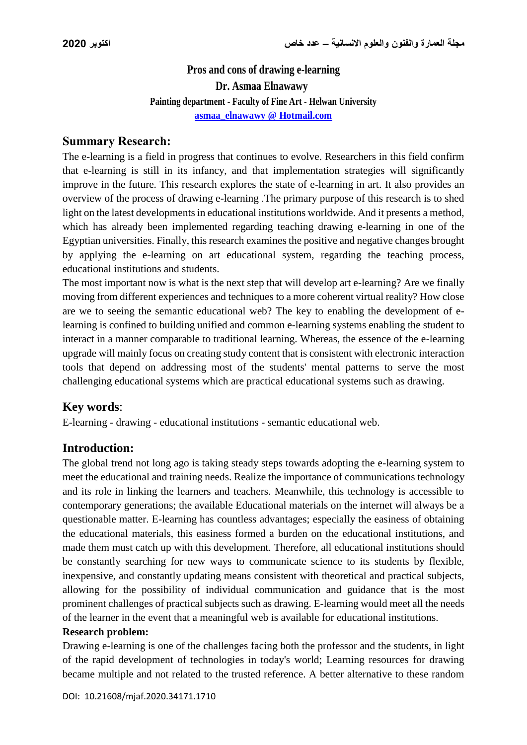# **Pros and cons of drawing e-learning Dr. Asmaa Elnawawy Painting department - Faculty of Fine Art - Helwan University asmaa\_elnawawy @ Hotmail.com**

## **Summary Research:**

The e-learning is a field in progress that continues to evolve. Researchers in this field confirm that e-learning is still in its infancy, and that implementation strategies will significantly improve in the future. This research explores the state of e-learning in art. It also provides an overview of the process of drawing e-learning .The primary purpose of this research is to shed light on the latest developments in educational institutions worldwide. And it presents a method, which has already been implemented regarding teaching drawing e-learning in one of the Egyptian universities. Finally, this research examines the positive and negative changes brought by applying the e-learning on art educational system, regarding the teaching process, educational institutions and students.

The most important now is what is the next step that will develop art e-learning? Are we finally moving from different experiences and techniques to a more coherent virtual reality? How close are we to seeing the semantic educational web? The key to enabling the development of elearning is confined to building unified and common e-learning systems enabling the student to interact in a manner comparable to traditional learning. Whereas, the essence of the e-learning upgrade will mainly focus on creating study content that is consistent with electronic interaction tools that depend on addressing most of the students' mental patterns to serve the most challenging educational systems which are practical educational systems such as drawing.

## **Key words**:

E-learning - drawing - educational institutions - semantic educational web.

## **Introduction:**

The global trend not long ago is taking steady steps towards adopting the e-learning system to meet the educational and training needs. Realize the importance of communications technology and its role in linking the learners and teachers. Meanwhile, this technology is accessible to contemporary generations; the available Educational materials on the internet will always be a questionable matter. E-learning has countless advantages; especially the easiness of obtaining the educational materials, this easiness formed a burden on the educational institutions, and made them must catch up with this development. Therefore, all educational institutions should be constantly searching for new ways to communicate science to its students by flexible, inexpensive, and constantly updating means consistent with theoretical and practical subjects, allowing for the possibility of individual communication and guidance that is the most prominent challenges of practical subjects such as drawing. E-learning would meet all the needs of the learner in the event that a meaningful web is available for educational institutions.

#### **Research problem:**

Drawing e-learning is one of the challenges facing both the professor and the students, in light of the rapid development of technologies in today's world; Learning resources for drawing became multiple and not related to the trusted reference. A better alternative to these random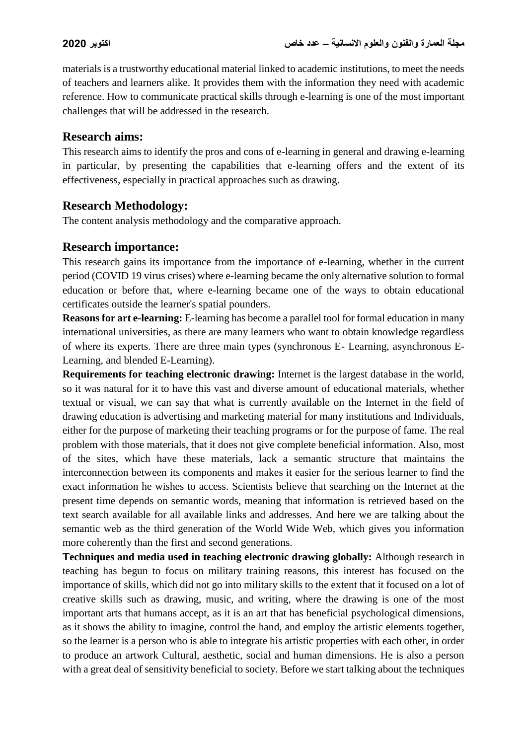materials is a trustworthy educational material linked to academic institutions, to meet the needs of teachers and learners alike. It provides them with the information they need with academic reference. How to communicate practical skills through e-learning is one of the most important challenges that will be addressed in the research.

# **Research aims:**

This research aims to identify the pros and cons of e-learning in general and drawing e-learning in particular, by presenting the capabilities that e-learning offers and the extent of its effectiveness, especially in practical approaches such as drawing.

# **Research Methodology:**

The content analysis methodology and the comparative approach.

# **Research importance:**

This research gains its importance from the importance of e-learning, whether in the current period (COVID 19 virus crises) where e-learning became the only alternative solution to formal education or before that, where e-learning became one of the ways to obtain educational certificates outside the learner's spatial pounders.

**Reasons for art e-learning:** E-learning has become a parallel tool for formal education in many international universities, as there are many learners who want to obtain knowledge regardless of where its experts. There are three main types (synchronous E- Learning, asynchronous E-Learning, and blended E-Learning).

**Requirements for teaching electronic drawing:** Internet is the largest database in the world, so it was natural for it to have this vast and diverse amount of educational materials, whether textual or visual, we can say that what is currently available on the Internet in the field of drawing education is advertising and marketing material for many institutions and Individuals, either for the purpose of marketing their teaching programs or for the purpose of fame. The real problem with those materials, that it does not give complete beneficial information. Also, most of the sites, which have these materials, lack a semantic structure that maintains the interconnection between its components and makes it easier for the serious learner to find the exact information he wishes to access. Scientists believe that searching on the Internet at the present time depends on semantic words, meaning that information is retrieved based on the text search available for all available links and addresses. And here we are talking about the semantic web as the third generation of the World Wide Web, which gives you information more coherently than the first and second generations.

**Techniques and media used in teaching electronic drawing globally:** Although research in teaching has begun to focus on military training reasons, this interest has focused on the importance of skills, which did not go into military skills to the extent that it focused on a lot of creative skills such as drawing, music, and writing, where the drawing is one of the most important arts that humans accept, as it is an art that has beneficial psychological dimensions, as it shows the ability to imagine, control the hand, and employ the artistic elements together, so the learner is a person who is able to integrate his artistic properties with each other, in order to produce an artwork Cultural, aesthetic, social and human dimensions. He is also a person with a great deal of sensitivity beneficial to society. Before we start talking about the techniques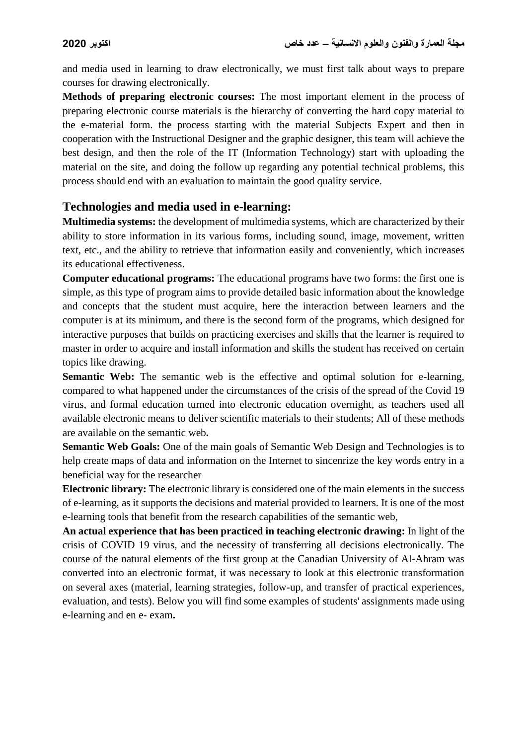and media used in learning to draw electronically, we must first talk about ways to prepare courses for drawing electronically.

**Methods of preparing electronic courses:** The most important element in the process of preparing electronic course materials is the hierarchy of converting the hard copy material to the e-material form. the process starting with the material Subjects Expert and then in cooperation with the Instructional Designer and the graphic designer, this team will achieve the best design, and then the role of the IT (Information Technology) start with uploading the material on the site, and doing the follow up regarding any potential technical problems, this process should end with an evaluation to maintain the good quality service.

# **Technologies and media used in e-learning:**

**Multimedia systems:** the development of multimedia systems, which are characterized by their ability to store information in its various forms, including sound, image, movement, written text, etc., and the ability to retrieve that information easily and conveniently, which increases its educational effectiveness.

**Computer educational programs:** The educational programs have two forms: the first one is simple, as this type of program aims to provide detailed basic information about the knowledge and concepts that the student must acquire, here the interaction between learners and the computer is at its minimum, and there is the second form of the programs, which designed for interactive purposes that builds on practicing exercises and skills that the learner is required to master in order to acquire and install information and skills the student has received on certain topics like drawing.

**Semantic Web:** The semantic web is the effective and optimal solution for e-learning, compared to what happened under the circumstances of the crisis of the spread of the Covid 19 virus, and formal education turned into electronic education overnight, as teachers used all available electronic means to deliver scientific materials to their students; All of these methods are available on the semantic web**.**

**Semantic Web Goals:** One of the main goals of Semantic Web Design and Technologies is to help create maps of data and information on the Internet to sincenrize the key words entry in a beneficial way for the researcher

**Electronic library:** The electronic library is considered one of the main elements in the success of e-learning, as it supports the decisions and material provided to learners. It is one of the most e-learning tools that benefit from the research capabilities of the semantic web,

**An actual experience that has been practiced in teaching electronic drawing:** In light of the crisis of COVID 19 virus, and the necessity of transferring all decisions electronically. The course of the natural elements of the first group at the Canadian University of Al-Ahram was converted into an electronic format, it was necessary to look at this electronic transformation on several axes (material, learning strategies, follow-up, and transfer of practical experiences, evaluation, and tests). Below you will find some examples of students' assignments made using e-learning and en e- exam**.**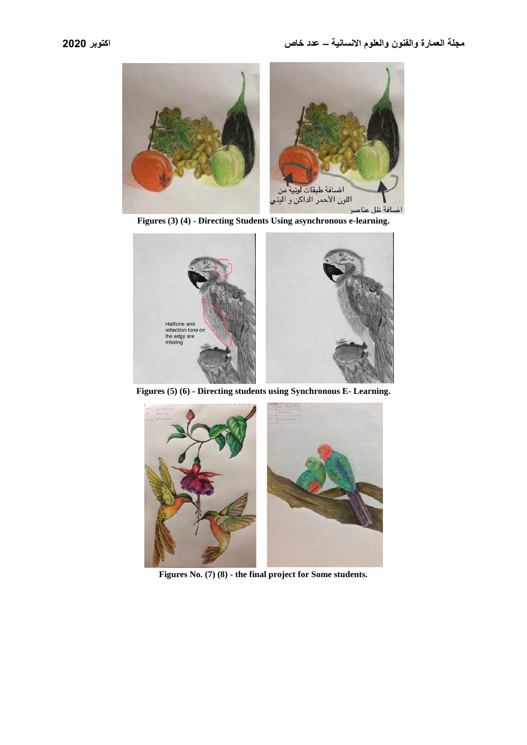

**Figures (3) (4) - Directing Students Using asynchronous e-learning.**



**Figures (5) (6) - Directing students using Synchronous E- Learning.**



**Figures No. (7) (8) - the final project for Some students.**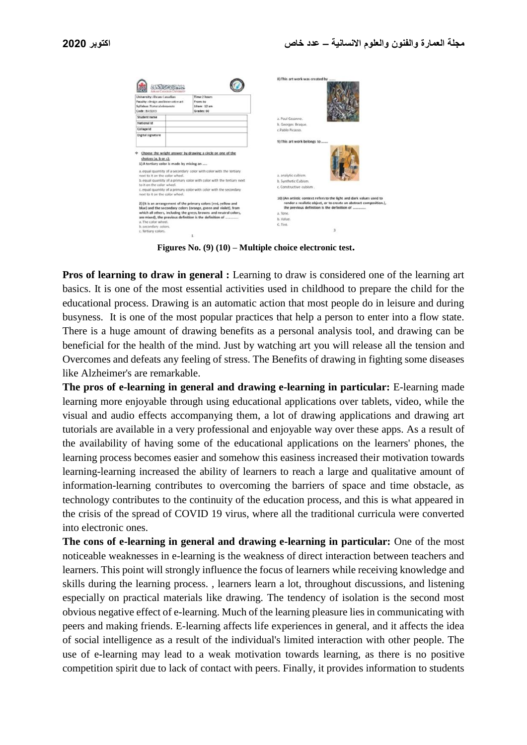| University Ahram Canadian<br>Faculty: design and innovative art                                                                                                        |  | Time:2 hours<br>From to                                                                                                                                                                                                                                                           |                                                                                                                                                                                            |
|------------------------------------------------------------------------------------------------------------------------------------------------------------------------|--|-----------------------------------------------------------------------------------------------------------------------------------------------------------------------------------------------------------------------------------------------------------------------------------|--------------------------------------------------------------------------------------------------------------------------------------------------------------------------------------------|
| Syllabus: Natural elements                                                                                                                                             |  | 10am : 12 am                                                                                                                                                                                                                                                                      |                                                                                                                                                                                            |
| Code: 845103                                                                                                                                                           |  | Grades: 60                                                                                                                                                                                                                                                                        |                                                                                                                                                                                            |
| Student name                                                                                                                                                           |  |                                                                                                                                                                                                                                                                                   | a Paul Ceganne.                                                                                                                                                                            |
| National Id                                                                                                                                                            |  |                                                                                                                                                                                                                                                                                   | b. Georges Brague.                                                                                                                                                                         |
| Collage Id                                                                                                                                                             |  |                                                                                                                                                                                                                                                                                   | c.Pablo Picasso.                                                                                                                                                                           |
| Digital signature                                                                                                                                                      |  |                                                                                                                                                                                                                                                                                   |                                                                                                                                                                                            |
|                                                                                                                                                                        |  |                                                                                                                                                                                                                                                                                   | 9) This art work belongs to                                                                                                                                                                |
|                                                                                                                                                                        |  |                                                                                                                                                                                                                                                                                   |                                                                                                                                                                                            |
| ÷<br>choices (a, b or c):<br>1) A tertiary color is made by mixing an<br>next to it on the color wheel.<br>to it on the color wheel.<br>next to it on the color wheel. |  | Choose the wright answer by drawing a circle on one of the<br>a, equal quantity of a secondary color with color with the tertiary<br>b. equal quantity of a primary color with color with the tertiary next<br>c. equal quantity of a primary color with color with the secondary | a. analytic cubism.<br>b. Synthetic Cubism.<br>c. Constructive cubism.                                                                                                                     |
|                                                                                                                                                                        |  | 2) (It is an arrangement of the primary colors (red, yellow and<br>blue) and the secondary colors (orange, green and violet), from                                                                                                                                                | 10) (An artistic context refers to the light and dark values used to<br>render a realistic object, or to create an abstract composition.),<br>the previous definition is the definition of |
|                                                                                                                                                                        |  | which all others, including the greys, browns and neutral colors,                                                                                                                                                                                                                 | a. Tone                                                                                                                                                                                    |
|                                                                                                                                                                        |  | are mixed), the previous definition is the definition of                                                                                                                                                                                                                          | b. Value.                                                                                                                                                                                  |
| a. The color wheel.<br>b. secondary colors.                                                                                                                            |  |                                                                                                                                                                                                                                                                                   | C. Tint.                                                                                                                                                                                   |

**Figures No. (9) (10) – Multiple choice electronic test.**

**Pros of learning to draw in general :** Learning to draw is considered one of the learning art basics. It is one of the most essential activities used in childhood to prepare the child for the educational process. Drawing is an automatic action that most people do in leisure and during busyness. It is one of the most popular practices that help a person to enter into a flow state. There is a huge amount of drawing benefits as a personal analysis tool, and drawing can be beneficial for the health of the mind. Just by watching art you will release all the tension and Overcomes and defeats any feeling of stress. The Benefits of drawing in fighting some diseases like Alzheimer's are remarkable.

**The pros of e-learning in general and drawing e-learning in particular:** E-learning made learning more enjoyable through using educational applications over tablets, video, while the visual and audio effects accompanying them, a lot of drawing applications and drawing art tutorials are available in a very professional and enjoyable way over these apps. As a result of the availability of having some of the educational applications on the learners' phones, the learning process becomes easier and somehow this easiness increased their motivation towards learning-learning increased the ability of learners to reach a large and qualitative amount of information-learning contributes to overcoming the barriers of space and time obstacle, as technology contributes to the continuity of the education process, and this is what appeared in the crisis of the spread of COVID 19 virus, where all the traditional curricula were converted into electronic ones.

**The cons of e-learning in general and drawing e-learning in particular:** One of the most noticeable weaknesses in e-learning is the weakness of direct interaction between teachers and learners. This point will strongly influence the focus of learners while receiving knowledge and skills during the learning process. , learners learn a lot, throughout discussions, and listening especially on practical materials like drawing. The tendency of isolation is the second most obvious negative effect of e-learning. Much of the learning pleasure lies in communicating with peers and making friends. E-learning affects life experiences in general, and it affects the idea of social intelligence as a result of the individual's limited interaction with other people. The use of e-learning may lead to a weak motivation towards learning, as there is no positive competition spirit due to lack of contact with peers. Finally, it provides information to students